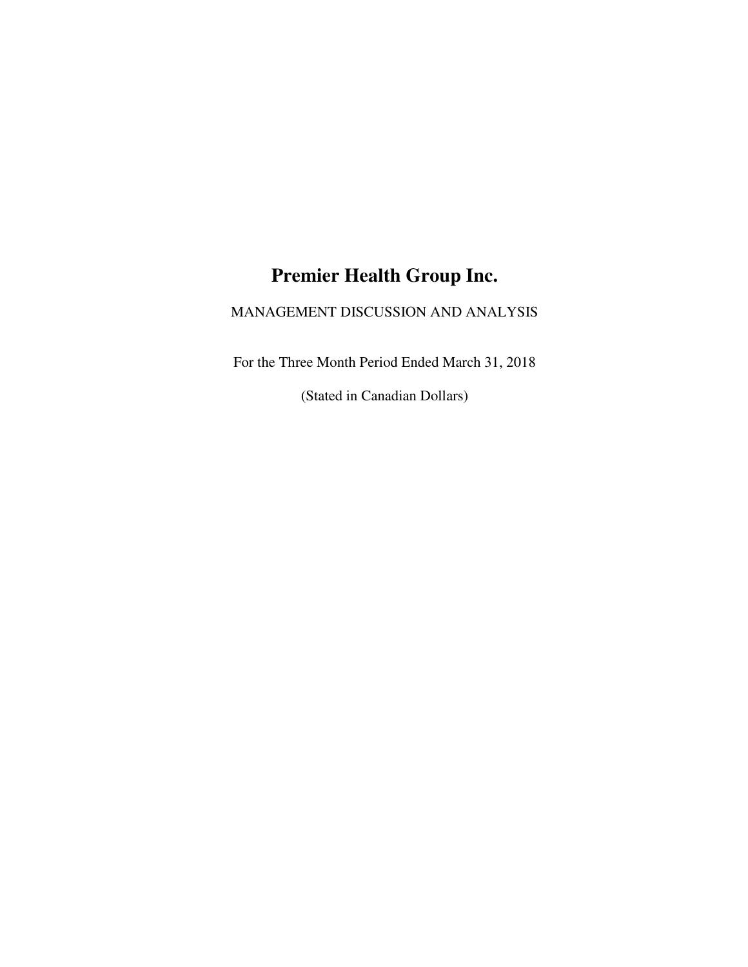# **Premier Health Group Inc.**

# MANAGEMENT DISCUSSION AND ANALYSIS

For the Three Month Period Ended March 31, 2018

(Stated in Canadian Dollars)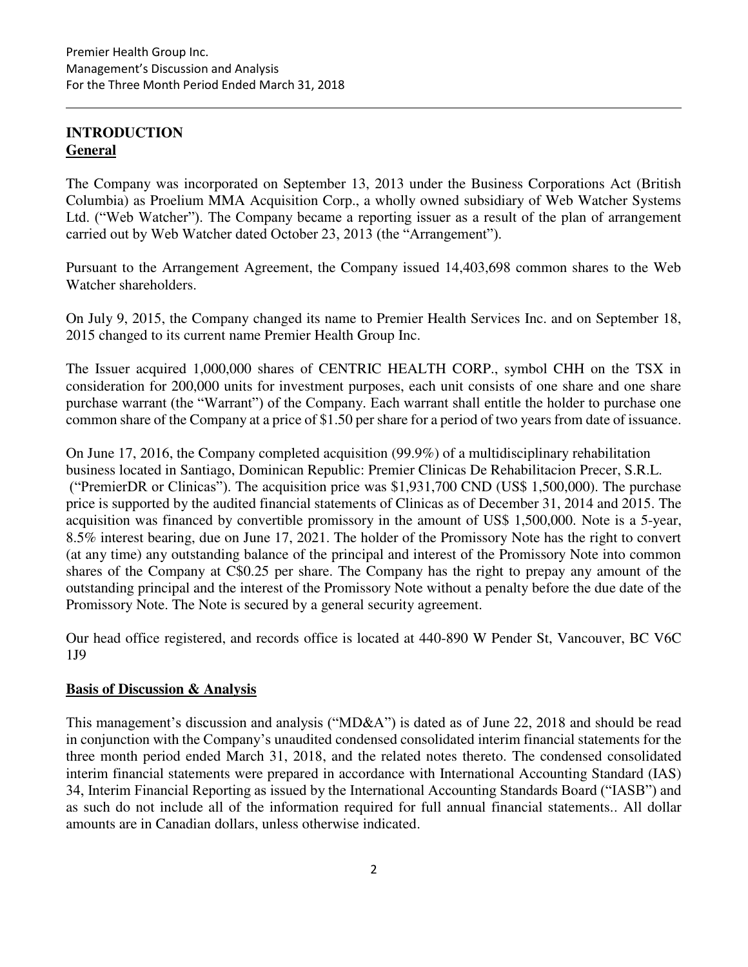# **INTRODUCTION General**

The Company was incorporated on September 13, 2013 under the Business Corporations Act (British Columbia) as Proelium MMA Acquisition Corp., a wholly owned subsidiary of Web Watcher Systems Ltd. ("Web Watcher"). The Company became a reporting issuer as a result of the plan of arrangement carried out by Web Watcher dated October 23, 2013 (the "Arrangement").

Pursuant to the Arrangement Agreement, the Company issued 14,403,698 common shares to the Web Watcher shareholders.

On July 9, 2015, the Company changed its name to Premier Health Services Inc. and on September 18, 2015 changed to its current name Premier Health Group Inc.

The Issuer acquired 1,000,000 shares of CENTRIC HEALTH CORP., symbol CHH on the TSX in consideration for 200,000 units for investment purposes, each unit consists of one share and one share purchase warrant (the "Warrant") of the Company. Each warrant shall entitle the holder to purchase one common share of the Company at a price of \$1.50 per share for a period of two years from date of issuance.

On June 17, 2016, the Company completed acquisition (99.9%) of a multidisciplinary rehabilitation business located in Santiago, Dominican Republic: Premier Clinicas De Rehabilitacion Precer, S.R.L. ("PremierDR or Clinicas"). The acquisition price was \$1,931,700 CND (US\$ 1,500,000). The purchase price is supported by the audited financial statements of Clinicas as of December 31, 2014 and 2015. The acquisition was financed by convertible promissory in the amount of US\$ 1,500,000. Note is a 5-year, 8.5% interest bearing, due on June 17, 2021. The holder of the Promissory Note has the right to convert (at any time) any outstanding balance of the principal and interest of the Promissory Note into common shares of the Company at C\$0.25 per share. The Company has the right to prepay any amount of the outstanding principal and the interest of the Promissory Note without a penalty before the due date of the Promissory Note. The Note is secured by a general security agreement.

Our head office registered, and records office is located at 440-890 W Pender St, Vancouver, BC V6C 1J9

# **Basis of Discussion & Analysis**

This management's discussion and analysis ("MD&A") is dated as of June 22, 2018 and should be read in conjunction with the Company's unaudited condensed consolidated interim financial statements for the three month period ended March 31, 2018, and the related notes thereto. The condensed consolidated interim financial statements were prepared in accordance with International Accounting Standard (IAS) 34, Interim Financial Reporting as issued by the International Accounting Standards Board ("IASB") and as such do not include all of the information required for full annual financial statements.. All dollar amounts are in Canadian dollars, unless otherwise indicated.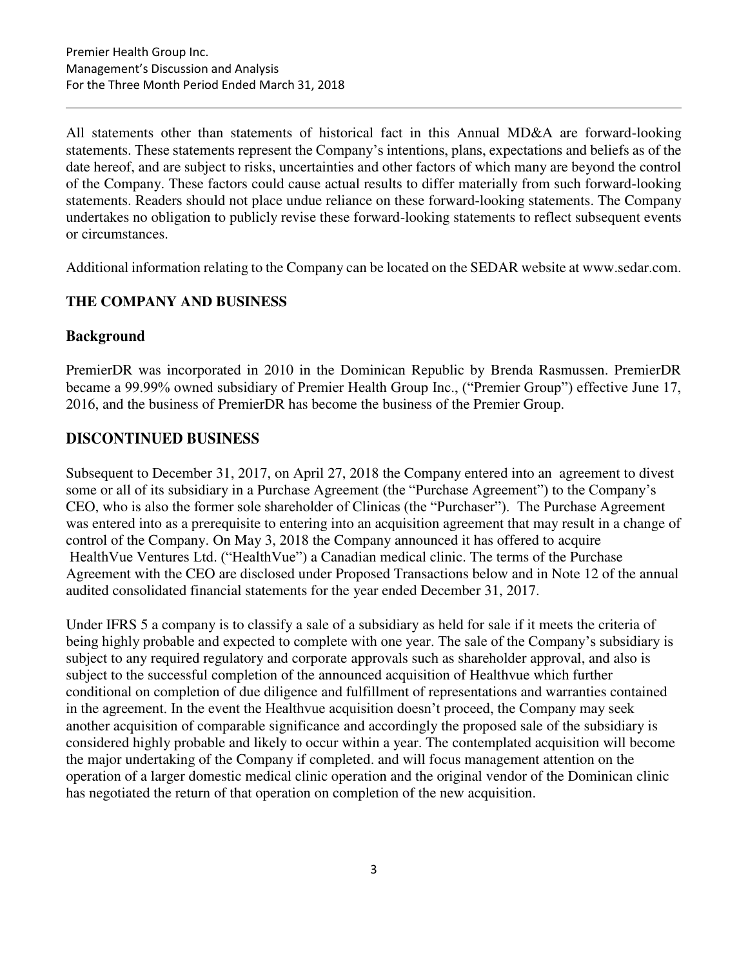All statements other than statements of historical fact in this Annual MD&A are forward-looking statements. These statements represent the Company's intentions, plans, expectations and beliefs as of the date hereof, and are subject to risks, uncertainties and other factors of which many are beyond the control of the Company. These factors could cause actual results to differ materially from such forward-looking statements. Readers should not place undue reliance on these forward-looking statements. The Company undertakes no obligation to publicly revise these forward-looking statements to reflect subsequent events or circumstances.

Additional information relating to the Company can be located on the SEDAR website at www.sedar.com.

# **THE COMPANY AND BUSINESS**

# **Background**

PremierDR was incorporated in 2010 in the Dominican Republic by Brenda Rasmussen. PremierDR became a 99.99% owned subsidiary of Premier Health Group Inc., ("Premier Group") effective June 17, 2016, and the business of PremierDR has become the business of the Premier Group.

# **DISCONTINUED BUSINESS**

Subsequent to December 31, 2017, on April 27, 2018 the Company entered into an agreement to divest some or all of its subsidiary in a Purchase Agreement (the "Purchase Agreement") to the Company's CEO, who is also the former sole shareholder of Clinicas (the "Purchaser"). The Purchase Agreement was entered into as a prerequisite to entering into an acquisition agreement that may result in a change of control of the Company. On May 3, 2018 the Company announced it has offered to acquire HealthVue Ventures Ltd. ("HealthVue") a Canadian medical clinic. The terms of the Purchase Agreement with the CEO are disclosed under Proposed Transactions below and in Note 12 of the annual audited consolidated financial statements for the year ended December 31, 2017.

Under IFRS 5 a company is to classify a sale of a subsidiary as held for sale if it meets the criteria of being highly probable and expected to complete with one year. The sale of the Company's subsidiary is subject to any required regulatory and corporate approvals such as shareholder approval, and also is subject to the successful completion of the announced acquisition of Healthvue which further conditional on completion of due diligence and fulfillment of representations and warranties contained in the agreement. In the event the Healthvue acquisition doesn't proceed, the Company may seek another acquisition of comparable significance and accordingly the proposed sale of the subsidiary is considered highly probable and likely to occur within a year. The contemplated acquisition will become the major undertaking of the Company if completed. and will focus management attention on the operation of a larger domestic medical clinic operation and the original vendor of the Dominican clinic has negotiated the return of that operation on completion of the new acquisition.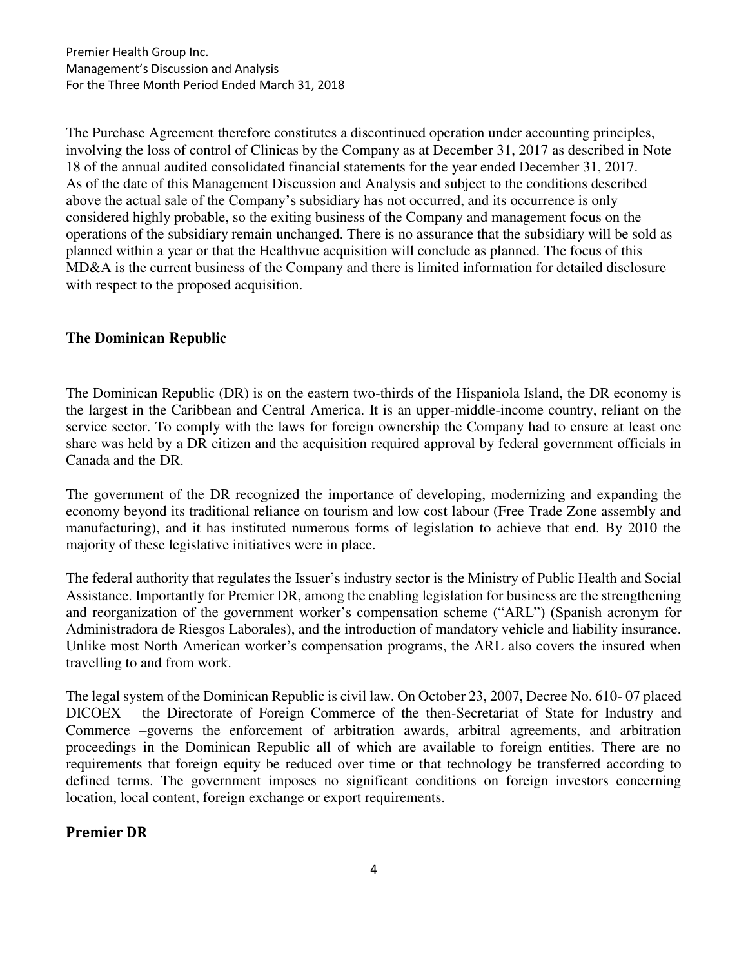The Purchase Agreement therefore constitutes a discontinued operation under accounting principles, involving the loss of control of Clinicas by the Company as at December 31, 2017 as described in Note 18 of the annual audited consolidated financial statements for the year ended December 31, 2017. As of the date of this Management Discussion and Analysis and subject to the conditions described above the actual sale of the Company's subsidiary has not occurred, and its occurrence is only considered highly probable, so the exiting business of the Company and management focus on the operations of the subsidiary remain unchanged. There is no assurance that the subsidiary will be sold as planned within a year or that the Healthvue acquisition will conclude as planned. The focus of this MD&A is the current business of the Company and there is limited information for detailed disclosure with respect to the proposed acquisition.

# **The Dominican Republic**

The Dominican Republic (DR) is on the eastern two-thirds of the Hispaniola Island, the DR economy is the largest in the Caribbean and Central America. It is an upper-middle-income country, reliant on the service sector. To comply with the laws for foreign ownership the Company had to ensure at least one share was held by a DR citizen and the acquisition required approval by federal government officials in Canada and the DR.

The government of the DR recognized the importance of developing, modernizing and expanding the economy beyond its traditional reliance on tourism and low cost labour (Free Trade Zone assembly and manufacturing), and it has instituted numerous forms of legislation to achieve that end. By 2010 the majority of these legislative initiatives were in place.

The federal authority that regulates the Issuer's industry sector is the Ministry of Public Health and Social Assistance. Importantly for Premier DR, among the enabling legislation for business are the strengthening and reorganization of the government worker's compensation scheme ("ARL") (Spanish acronym for Administradora de Riesgos Laborales), and the introduction of mandatory vehicle and liability insurance. Unlike most North American worker's compensation programs, the ARL also covers the insured when travelling to and from work.

The legal system of the Dominican Republic is civil law. On October 23, 2007, Decree No. 610- 07 placed DICOEX – the Directorate of Foreign Commerce of the then-Secretariat of State for Industry and Commerce –governs the enforcement of arbitration awards, arbitral agreements, and arbitration proceedings in the Dominican Republic all of which are available to foreign entities. There are no requirements that foreign equity be reduced over time or that technology be transferred according to defined terms. The government imposes no significant conditions on foreign investors concerning location, local content, foreign exchange or export requirements.

# **Premier DR**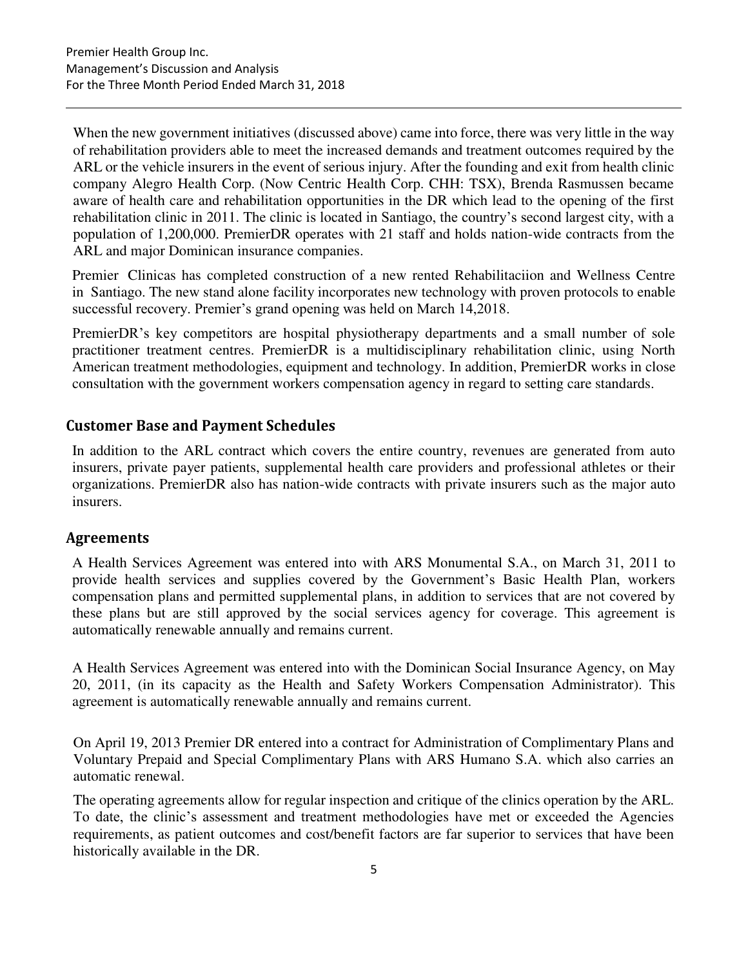When the new government initiatives (discussed above) came into force, there was very little in the way of rehabilitation providers able to meet the increased demands and treatment outcomes required by the ARL or the vehicle insurers in the event of serious injury. After the founding and exit from health clinic company Alegro Health Corp. (Now Centric Health Corp. CHH: TSX), Brenda Rasmussen became aware of health care and rehabilitation opportunities in the DR which lead to the opening of the first rehabilitation clinic in 2011. The clinic is located in Santiago, the country's second largest city, with a population of 1,200,000. PremierDR operates with 21 staff and holds nation-wide contracts from the ARL and major Dominican insurance companies.

Premier Clinicas has completed construction of a new rented Rehabilitaciion and Wellness Centre in Santiago. The new stand alone facility incorporates new technology with proven protocols to enable successful recovery. Premier's grand opening was held on March 14,2018.

PremierDR's key competitors are hospital physiotherapy departments and a small number of sole practitioner treatment centres. PremierDR is a multidisciplinary rehabilitation clinic, using North American treatment methodologies, equipment and technology. In addition, PremierDR works in close consultation with the government workers compensation agency in regard to setting care standards.

# **Customer Base and Payment Schedules**

In addition to the ARL contract which covers the entire country, revenues are generated from auto insurers, private payer patients, supplemental health care providers and professional athletes or their organizations. PremierDR also has nation-wide contracts with private insurers such as the major auto insurers.

# **Agreements**

A Health Services Agreement was entered into with ARS Monumental S.A., on March 31, 2011 to provide health services and supplies covered by the Government's Basic Health Plan, workers compensation plans and permitted supplemental plans, in addition to services that are not covered by these plans but are still approved by the social services agency for coverage. This agreement is automatically renewable annually and remains current.

A Health Services Agreement was entered into with the Dominican Social Insurance Agency, on May 20, 2011, (in its capacity as the Health and Safety Workers Compensation Administrator). This agreement is automatically renewable annually and remains current.

On April 19, 2013 Premier DR entered into a contract for Administration of Complimentary Plans and Voluntary Prepaid and Special Complimentary Plans with ARS Humano S.A. which also carries an automatic renewal.

The operating agreements allow for regular inspection and critique of the clinics operation by the ARL. To date, the clinic's assessment and treatment methodologies have met or exceeded the Agencies requirements, as patient outcomes and cost/benefit factors are far superior to services that have been historically available in the DR.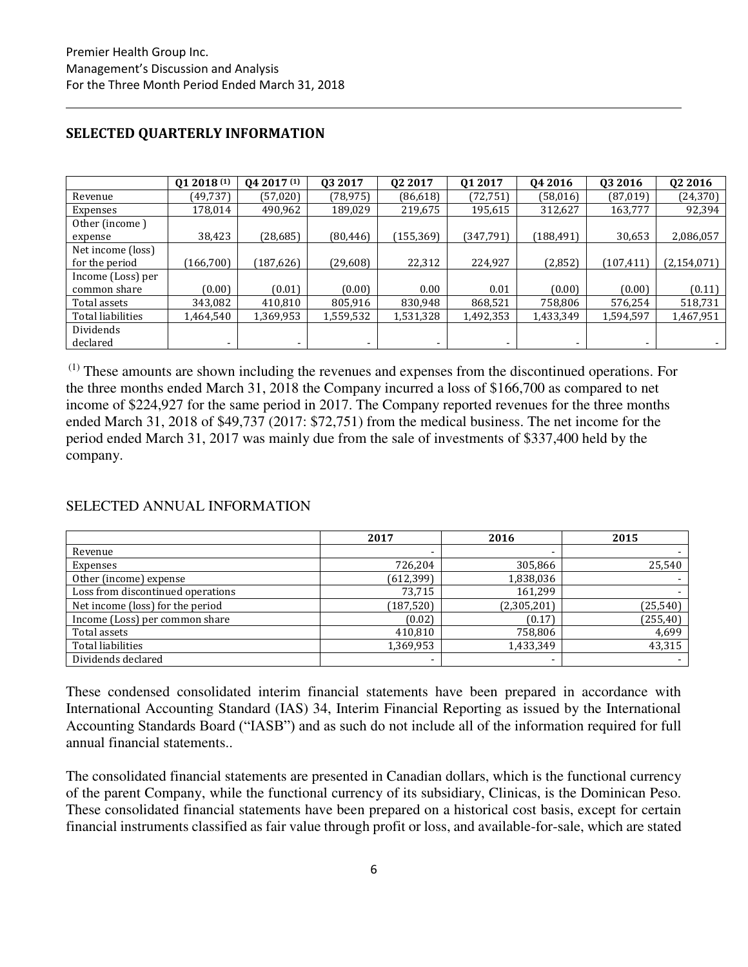|                   | 012018(1)                | 04 2017 (1)              | 03 2017        | 02 2017   | 01 2017   | 04 2016   | 03 2016                  | 02 2016       |
|-------------------|--------------------------|--------------------------|----------------|-----------|-----------|-----------|--------------------------|---------------|
| Revenue           | (49, 737)                | (57,020)                 | (78, 975)      | (86, 618) | (72, 751) | (58,016)  | (87,019)                 | (24, 370)     |
| Expenses          | 178,014                  | 490,962                  | 189,029        | 219,675   | 195,615   | 312,627   | 163,777                  | 92,394        |
| Other (income)    |                          |                          |                |           |           |           |                          |               |
| expense           | 38,423                   | (28,685)                 | (80, 446)      | (155,369) | (347,791) | (188,491) | 30,653                   | 2,086,057     |
| Net income (loss) |                          |                          |                |           |           |           |                          |               |
| for the period    | 166,700                  | (187, 626)               | (29, 608)      | 22,312    | 224,927   | (2,852)   | (107, 411)               | (2, 154, 071) |
| Income (Loss) per |                          |                          |                |           |           |           |                          |               |
| common share      | (0.00)                   | (0.01)                   | (0.00)         | 0.00      | 0.01      | (0.00)    | (0.00)                   | (0.11)        |
| Total assets      | 343,082                  | 410,810                  | 805,916        | 830,948   | 868,521   | 758,806   | 576,254                  | 518,731       |
| Total liabilities | 1,464,540                | 1,369,953                | 1,559,532      | 1,531,328 | 1,492,353 | 1,433,349 | 1,594,597                | 1,467,951     |
| Dividends         |                          |                          |                |           |           |           |                          |               |
| declared          | $\overline{\phantom{a}}$ | $\overline{\phantom{a}}$ | $\blacksquare$ | -         | ۰         | -         | $\overline{\phantom{0}}$ |               |

### **SELECTED QUARTERLY INFORMATION**

 (1) These amounts are shown including the revenues and expenses from the discontinued operations. For the three months ended March 31, 2018 the Company incurred a loss of \$166,700 as compared to net income of \$224,927 for the same period in 2017. The Company reported revenues for the three months ended March 31, 2018 of \$49,737 (2017: \$72,751) from the medical business. The net income for the period ended March 31, 2017 was mainly due from the sale of investments of \$337,400 held by the company.

# SELECTED ANNUAL INFORMATION

|                                   | 2017           | 2016        | 2015      |
|-----------------------------------|----------------|-------------|-----------|
| Revenue                           |                |             |           |
| Expenses                          | 726,204        | 305,866     | 25,540    |
| Other (income) expense            | (612, 399)     | 1,838,036   |           |
| Loss from discontinued operations | 73,715         | 161,299     |           |
| Net income (loss) for the period  | (187, 520)     | (2,305,201) | (25, 540) |
| Income (Loss) per common share    | (0.02)         | (0.17)      | (255, 40) |
| Total assets                      | 410,810        | 758,806     | 4,699     |
| Total liabilities                 | 1,369,953      | 1,433,349   | 43,315    |
| Dividends declared                | $\blacksquare$ |             |           |

These condensed consolidated interim financial statements have been prepared in accordance with International Accounting Standard (IAS) 34, Interim Financial Reporting as issued by the International Accounting Standards Board ("IASB") and as such do not include all of the information required for full annual financial statements..

The consolidated financial statements are presented in Canadian dollars, which is the functional currency of the parent Company, while the functional currency of its subsidiary, Clinicas, is the Dominican Peso. These consolidated financial statements have been prepared on a historical cost basis, except for certain financial instruments classified as fair value through profit or loss, and available-for-sale, which are stated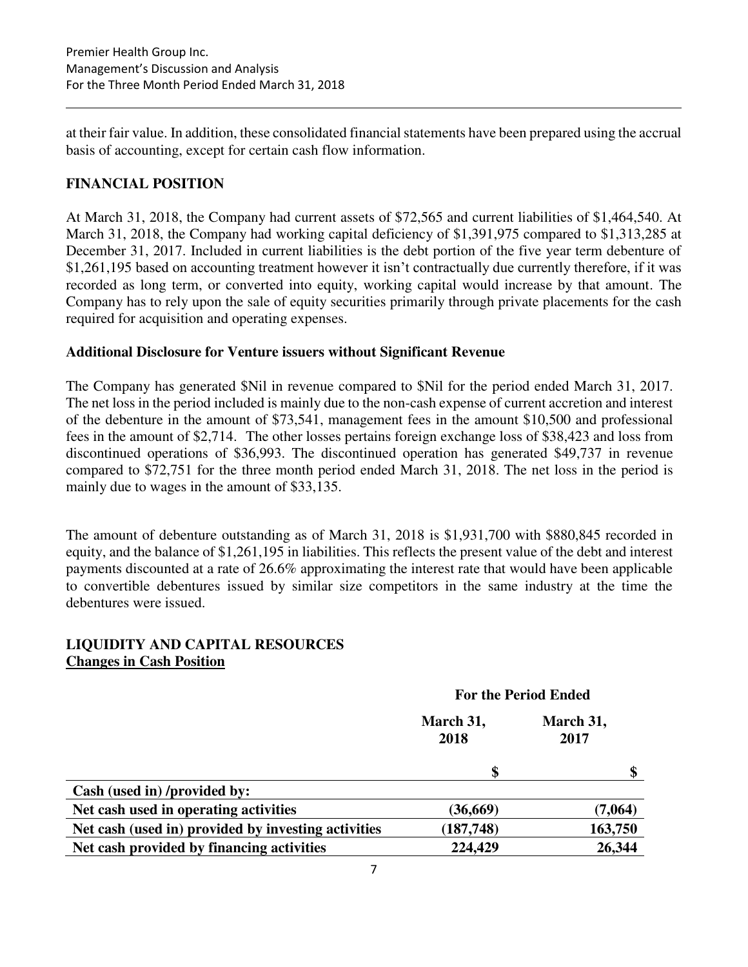at their fair value. In addition, these consolidated financial statements have been prepared using the accrual basis of accounting, except for certain cash flow information.

# **FINANCIAL POSITION**

At March 31, 2018, the Company had current assets of \$72,565 and current liabilities of \$1,464,540. At March 31, 2018, the Company had working capital deficiency of \$1,391,975 compared to \$1,313,285 at December 31, 2017. Included in current liabilities is the debt portion of the five year term debenture of \$1,261,195 based on accounting treatment however it isn't contractually due currently therefore, if it was recorded as long term, or converted into equity, working capital would increase by that amount. The Company has to rely upon the sale of equity securities primarily through private placements for the cash required for acquisition and operating expenses.

# **Additional Disclosure for Venture issuers without Significant Revenue**

The Company has generated \$Nil in revenue compared to \$Nil for the period ended March 31, 2017. The net loss in the period included is mainly due to the non-cash expense of current accretion and interest of the debenture in the amount of \$73,541, management fees in the amount \$10,500 and professional fees in the amount of \$2,714. The other losses pertains foreign exchange loss of \$38,423 and loss from discontinued operations of \$36,993. The discontinued operation has generated \$49,737 in revenue compared to \$72,751 for the three month period ended March 31, 2018. The net loss in the period is mainly due to wages in the amount of \$33,135.

The amount of debenture outstanding as of March 31, 2018 is \$1,931,700 with \$880,845 recorded in equity, and the balance of \$1,261,195 in liabilities. This reflects the present value of the debt and interest payments discounted at a rate of 26.6% approximating the interest rate that would have been applicable to convertible debentures issued by similar size competitors in the same industry at the time the debentures were issued.

# **LIQUIDITY AND CAPITAL RESOURCES Changes in Cash Position**

|                                                     | <b>For the Period Ended</b> |                   |  |  |
|-----------------------------------------------------|-----------------------------|-------------------|--|--|
|                                                     | March 31,<br>2018           | March 31,<br>2017 |  |  |
|                                                     |                             |                   |  |  |
| Cash (used in) /provided by:                        |                             |                   |  |  |
| Net cash used in operating activities               | (36, 669)                   | (7,064)           |  |  |
| Net cash (used in) provided by investing activities | (187, 748)                  | 163,750           |  |  |
| Net cash provided by financing activities           | 224,429                     | 26,344            |  |  |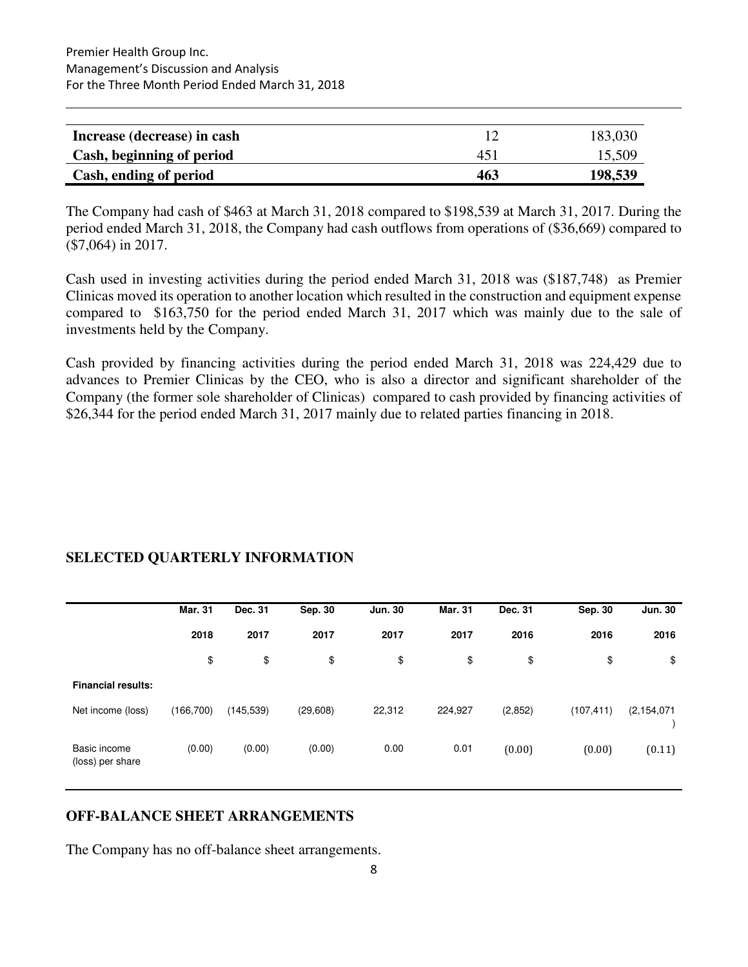| Increase (decrease) in cash |     | 183,030 |
|-----------------------------|-----|---------|
| Cash, beginning of period   | 451 | 15,509  |
| Cash, ending of period      | 463 | 198,539 |

The Company had cash of \$463 at March 31, 2018 compared to \$198,539 at March 31, 2017. During the period ended March 31, 2018, the Company had cash outflows from operations of (\$36,669) compared to (\$7,064) in 2017.

Cash used in investing activities during the period ended March 31, 2018 was (\$187,748) as Premier Clinicas moved its operation to another location which resulted in the construction and equipment expense compared to \$163,750 for the period ended March 31, 2017 which was mainly due to the sale of investments held by the Company.

Cash provided by financing activities during the period ended March 31, 2018 was 224,429 due to advances to Premier Clinicas by the CEO, who is also a director and significant shareholder of the Company (the former sole shareholder of Clinicas) compared to cash provided by financing activities of \$26,344 for the period ended March 31, 2017 mainly due to related parties financing in 2018.

# **SELECTED QUARTERLY INFORMATION**

|                                  | <b>Mar. 31</b> | Dec. 31    | Sep. 30   | <b>Jun. 30</b> | <b>Mar. 31</b> | Dec. 31 | Sep. 30    | <b>Jun. 30</b> |
|----------------------------------|----------------|------------|-----------|----------------|----------------|---------|------------|----------------|
|                                  | 2018           | 2017       | 2017      | 2017           | 2017           | 2016    | 2016       | 2016           |
|                                  | \$             | \$         | \$        | \$             | \$             | \$      | \$         | \$             |
| <b>Financial results:</b>        |                |            |           |                |                |         |            |                |
| Net income (loss)                | (166, 700)     | (145, 539) | (29, 608) | 22,312         | 224,927        | (2,852) | (107, 411) | (2, 154, 071)  |
| Basic income<br>(loss) per share | (0.00)         | (0.00)     | (0.00)    | 0.00           | 0.01           | (0.00)  | (0.00)     | (0.11)         |

# **OFF-BALANCE SHEET ARRANGEMENTS**

The Company has no off-balance sheet arrangements.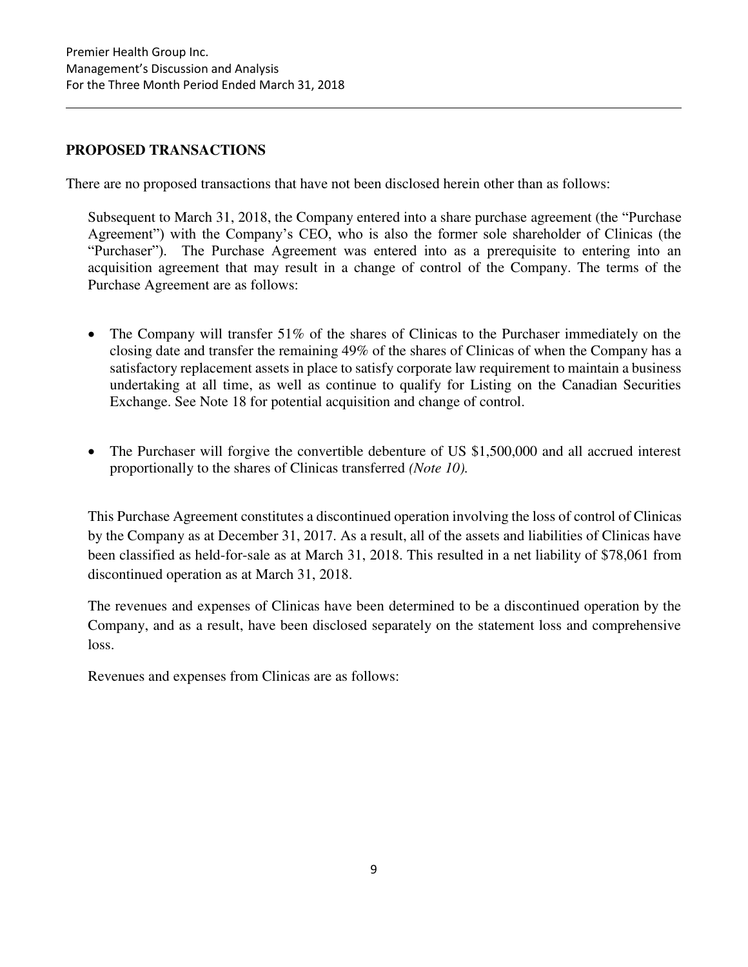# **PROPOSED TRANSACTIONS**

There are no proposed transactions that have not been disclosed herein other than as follows:

Subsequent to March 31, 2018, the Company entered into a share purchase agreement (the "Purchase Agreement") with the Company's CEO, who is also the former sole shareholder of Clinicas (the "Purchaser"). The Purchase Agreement was entered into as a prerequisite to entering into an acquisition agreement that may result in a change of control of the Company. The terms of the Purchase Agreement are as follows:

- The Company will transfer 51% of the shares of Clinicas to the Purchaser immediately on the closing date and transfer the remaining 49% of the shares of Clinicas of when the Company has a satisfactory replacement assets in place to satisfy corporate law requirement to maintain a business undertaking at all time, as well as continue to qualify for Listing on the Canadian Securities Exchange. See Note 18 for potential acquisition and change of control.
- The Purchaser will forgive the convertible debenture of US \$1,500,000 and all accrued interest proportionally to the shares of Clinicas transferred *(Note 10).*

This Purchase Agreement constitutes a discontinued operation involving the loss of control of Clinicas by the Company as at December 31, 2017. As a result, all of the assets and liabilities of Clinicas have been classified as held-for-sale as at March 31, 2018. This resulted in a net liability of \$78,061 from discontinued operation as at March 31, 2018.

The revenues and expenses of Clinicas have been determined to be a discontinued operation by the Company, and as a result, have been disclosed separately on the statement loss and comprehensive loss.

Revenues and expenses from Clinicas are as follows: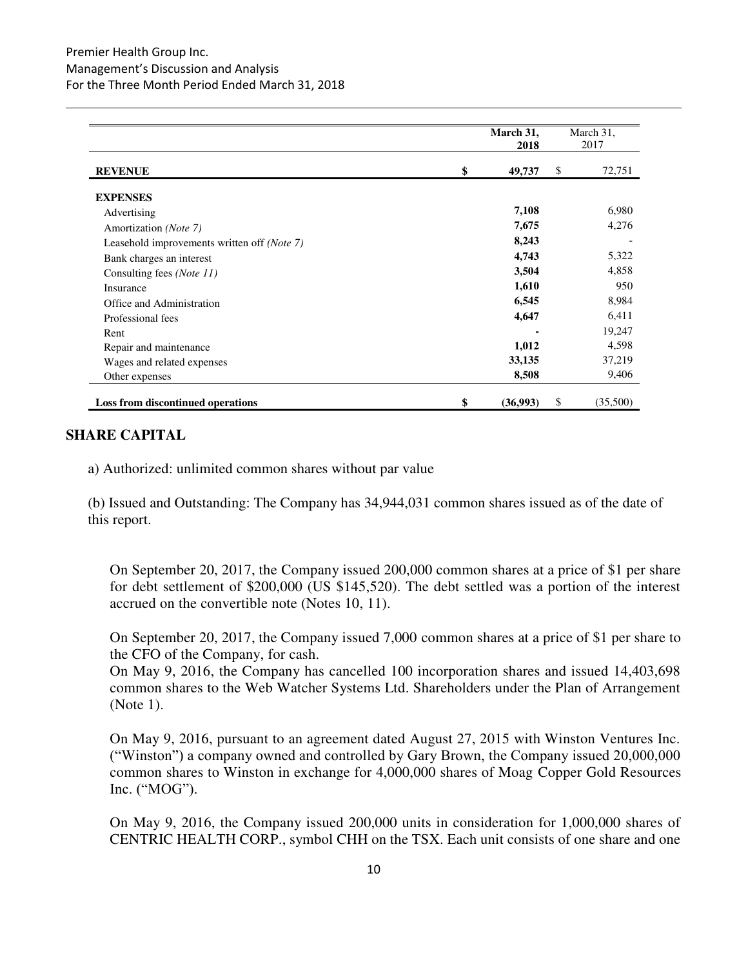|                                             | March 31,<br>2018 | March 31,<br>2017 |
|---------------------------------------------|-------------------|-------------------|
| <b>REVENUE</b>                              | \$<br>49,737      | 72,751<br>\$      |
| <b>EXPENSES</b>                             |                   |                   |
| Advertising                                 | 7,108             | 6,980             |
| Amortization (Note 7)                       | 7,675             | 4,276             |
| Leasehold improvements written off (Note 7) | 8,243             |                   |
| Bank charges an interest                    | 4,743             | 5,322             |
| Consulting fees ( <i>Note 11</i> )          | 3,504             | 4,858             |
| Insurance                                   | 1,610             | 950               |
| Office and Administration                   | 6,545             | 8,984             |
| Professional fees                           | 4,647             | 6,411             |
| Rent                                        |                   | 19,247            |
| Repair and maintenance                      | 1,012             | 4,598             |
| Wages and related expenses                  | 33,135            | 37,219            |
| Other expenses                              | 8,508             | 9,406             |
| Loss from discontinued operations           | \$<br>(36,993)    | (35,500)<br>S     |

# **SHARE CAPITAL**

a) Authorized: unlimited common shares without par value

(b) Issued and Outstanding: The Company has 34,944,031 common shares issued as of the date of this report.

On September 20, 2017, the Company issued 200,000 common shares at a price of \$1 per share for debt settlement of \$200,000 (US \$145,520). The debt settled was a portion of the interest accrued on the convertible note (Notes 10, 11).

On September 20, 2017, the Company issued 7,000 common shares at a price of \$1 per share to the CFO of the Company, for cash.

On May 9, 2016, the Company has cancelled 100 incorporation shares and issued 14,403,698 common shares to the Web Watcher Systems Ltd. Shareholders under the Plan of Arrangement (Note 1).

On May 9, 2016, pursuant to an agreement dated August 27, 2015 with Winston Ventures Inc. ("Winston") a company owned and controlled by Gary Brown, the Company issued 20,000,000 common shares to Winston in exchange for 4,000,000 shares of Moag Copper Gold Resources Inc. ("MOG").

On May 9, 2016, the Company issued 200,000 units in consideration for 1,000,000 shares of CENTRIC HEALTH CORP., symbol CHH on the TSX. Each unit consists of one share and one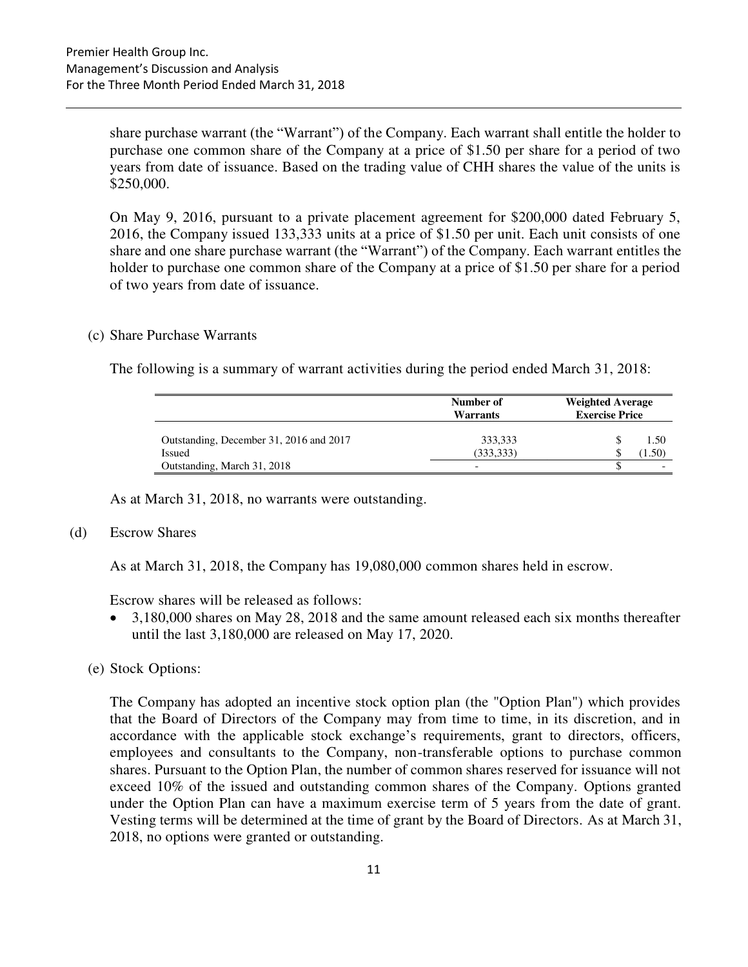share purchase warrant (the "Warrant") of the Company. Each warrant shall entitle the holder to purchase one common share of the Company at a price of \$1.50 per share for a period of two years from date of issuance. Based on the trading value of CHH shares the value of the units is \$250,000.

On May 9, 2016, pursuant to a private placement agreement for \$200,000 dated February 5, 2016, the Company issued 133,333 units at a price of \$1.50 per unit. Each unit consists of one share and one share purchase warrant (the "Warrant") of the Company. Each warrant entitles the holder to purchase one common share of the Company at a price of \$1.50 per share for a period of two years from date of issuance.

#### (c) Share Purchase Warrants

The following is a summary of warrant activities during the period ended March 31, 2018:

|                                                   | Number of<br><b>Warrants</b> | <b>Weighted Average</b><br><b>Exercise Price</b> |  |  |
|---------------------------------------------------|------------------------------|--------------------------------------------------|--|--|
| Outstanding, December 31, 2016 and 2017<br>Issued | 333,333<br>(333, 333)        | 1.50<br>(1.50)                                   |  |  |
| Outstanding, March 31, 2018                       | $\overline{\phantom{0}}$     |                                                  |  |  |

As at March 31, 2018, no warrants were outstanding.

#### (d) Escrow Shares

As at March 31, 2018, the Company has 19,080,000 common shares held in escrow.

Escrow shares will be released as follows:

- 3,180,000 shares on May 28, 2018 and the same amount released each six months thereafter until the last 3,180,000 are released on May 17, 2020.
- (e) Stock Options:

The Company has adopted an incentive stock option plan (the "Option Plan") which provides that the Board of Directors of the Company may from time to time, in its discretion, and in accordance with the applicable stock exchange's requirements, grant to directors, officers, employees and consultants to the Company, non-transferable options to purchase common shares. Pursuant to the Option Plan, the number of common shares reserved for issuance will not exceed 10% of the issued and outstanding common shares of the Company. Options granted under the Option Plan can have a maximum exercise term of 5 years from the date of grant. Vesting terms will be determined at the time of grant by the Board of Directors. As at March 31, 2018, no options were granted or outstanding.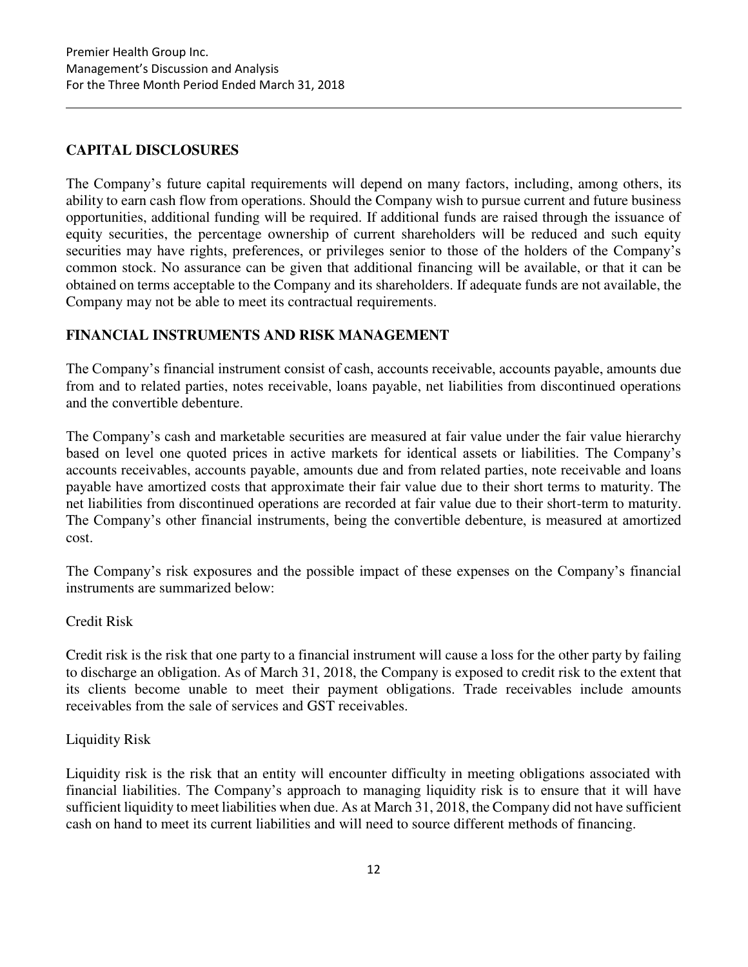# **CAPITAL DISCLOSURES**

The Company's future capital requirements will depend on many factors, including, among others, its ability to earn cash flow from operations. Should the Company wish to pursue current and future business opportunities, additional funding will be required. If additional funds are raised through the issuance of equity securities, the percentage ownership of current shareholders will be reduced and such equity securities may have rights, preferences, or privileges senior to those of the holders of the Company's common stock. No assurance can be given that additional financing will be available, or that it can be obtained on terms acceptable to the Company and its shareholders. If adequate funds are not available, the Company may not be able to meet its contractual requirements.

# **FINANCIAL INSTRUMENTS AND RISK MANAGEMENT**

The Company's financial instrument consist of cash, accounts receivable, accounts payable, amounts due from and to related parties, notes receivable, loans payable, net liabilities from discontinued operations and the convertible debenture.

The Company's cash and marketable securities are measured at fair value under the fair value hierarchy based on level one quoted prices in active markets for identical assets or liabilities. The Company's accounts receivables, accounts payable, amounts due and from related parties, note receivable and loans payable have amortized costs that approximate their fair value due to their short terms to maturity. The net liabilities from discontinued operations are recorded at fair value due to their short-term to maturity. The Company's other financial instruments, being the convertible debenture, is measured at amortized cost.

The Company's risk exposures and the possible impact of these expenses on the Company's financial instruments are summarized below:

# Credit Risk

Credit risk is the risk that one party to a financial instrument will cause a loss for the other party by failing to discharge an obligation. As of March 31, 2018, the Company is exposed to credit risk to the extent that its clients become unable to meet their payment obligations. Trade receivables include amounts receivables from the sale of services and GST receivables.

# Liquidity Risk

Liquidity risk is the risk that an entity will encounter difficulty in meeting obligations associated with financial liabilities. The Company's approach to managing liquidity risk is to ensure that it will have sufficient liquidity to meet liabilities when due. As at March 31, 2018, the Company did not have sufficient cash on hand to meet its current liabilities and will need to source different methods of financing.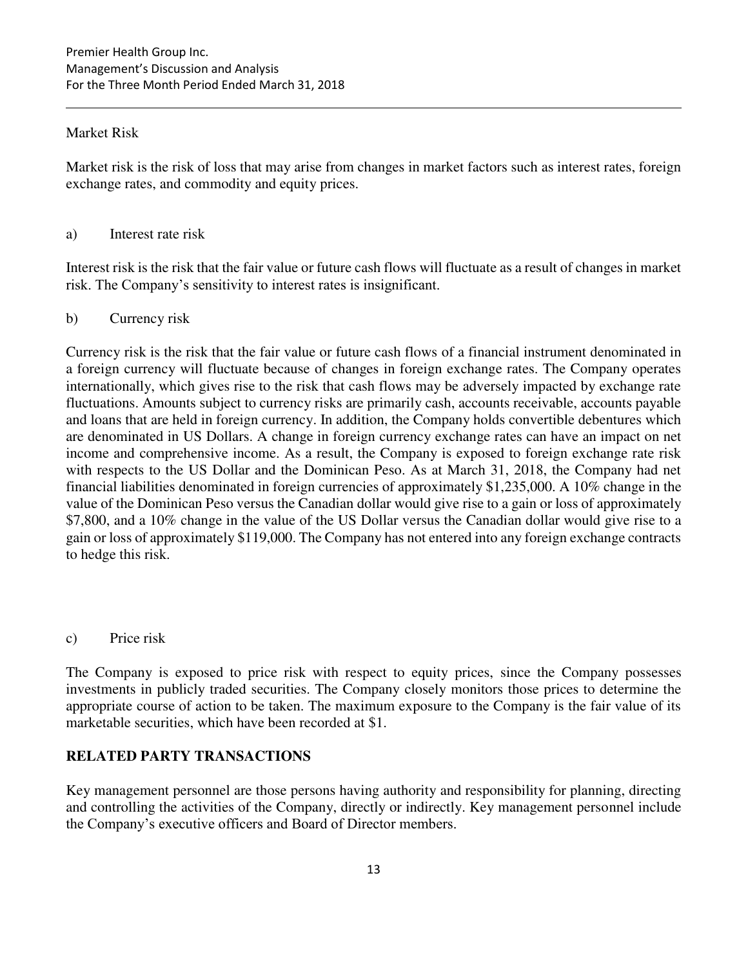### Market Risk

Market risk is the risk of loss that may arise from changes in market factors such as interest rates, foreign exchange rates, and commodity and equity prices.

#### a) Interest rate risk

Interest risk is the risk that the fair value or future cash flows will fluctuate as a result of changes in market risk. The Company's sensitivity to interest rates is insignificant.

### b) Currency risk

Currency risk is the risk that the fair value or future cash flows of a financial instrument denominated in a foreign currency will fluctuate because of changes in foreign exchange rates. The Company operates internationally, which gives rise to the risk that cash flows may be adversely impacted by exchange rate fluctuations. Amounts subject to currency risks are primarily cash, accounts receivable, accounts payable and loans that are held in foreign currency. In addition, the Company holds convertible debentures which are denominated in US Dollars. A change in foreign currency exchange rates can have an impact on net income and comprehensive income. As a result, the Company is exposed to foreign exchange rate risk with respects to the US Dollar and the Dominican Peso. As at March 31, 2018, the Company had net financial liabilities denominated in foreign currencies of approximately \$1,235,000. A 10% change in the value of the Dominican Peso versus the Canadian dollar would give rise to a gain or loss of approximately \$7,800, and a 10% change in the value of the US Dollar versus the Canadian dollar would give rise to a gain or loss of approximately \$119,000. The Company has not entered into any foreign exchange contracts to hedge this risk.

c) Price risk

The Company is exposed to price risk with respect to equity prices, since the Company possesses investments in publicly traded securities. The Company closely monitors those prices to determine the appropriate course of action to be taken. The maximum exposure to the Company is the fair value of its marketable securities, which have been recorded at \$1.

# **RELATED PARTY TRANSACTIONS**

Key management personnel are those persons having authority and responsibility for planning, directing and controlling the activities of the Company, directly or indirectly. Key management personnel include the Company's executive officers and Board of Director members.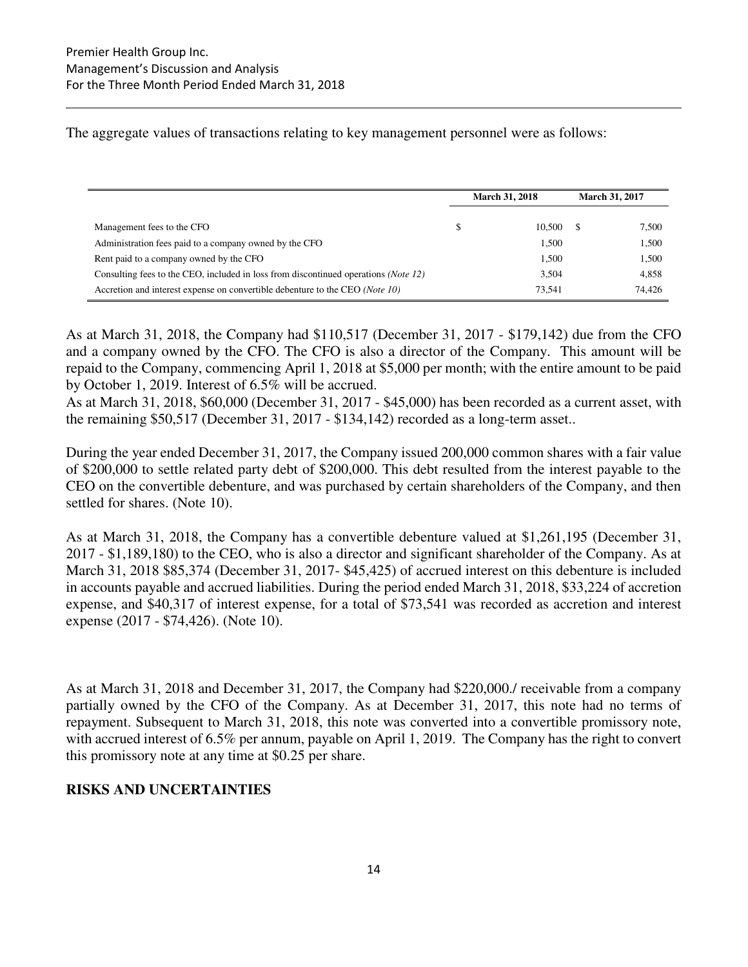The aggregate values of transactions relating to key management personnel were as follows:

|                                                                                              | <b>March 31, 2018</b> |        | <b>March 31, 2017</b> |        |
|----------------------------------------------------------------------------------------------|-----------------------|--------|-----------------------|--------|
| Management fees to the CFO                                                                   | \$                    | 10.500 |                       | 7,500  |
| Administration fees paid to a company owned by the CFO                                       |                       | 1.500  |                       | 1,500  |
| Rent paid to a company owned by the CFO                                                      |                       | 1,500  |                       | 1,500  |
| Consulting fees to the CEO, included in loss from discontinued operations ( <i>Note 12</i> ) |                       | 3.504  |                       | 4,858  |
| Accretion and interest expense on convertible debenture to the CEO ( <i>Note 10</i> )        |                       | 73,541 |                       | 74.426 |

As at March 31, 2018, the Company had \$110,517 (December 31, 2017 - \$179,142) due from the CFO and a company owned by the CFO. The CFO is also a director of the Company. This amount will be repaid to the Company, commencing April 1, 2018 at \$5,000 per month; with the entire amount to be paid by October 1, 2019. Interest of 6.5% will be accrued.

As at March 31, 2018, \$60,000 (December 31, 2017 - \$45,000) has been recorded as a current asset, with the remaining \$50,517 (December 31, 2017 - \$134,142) recorded as a long-term asset..

During the year ended December 31, 2017, the Company issued 200,000 common shares with a fair value of \$200,000 to settle related party debt of \$200,000. This debt resulted from the interest payable to the CEO on the convertible debenture, and was purchased by certain shareholders of the Company, and then settled for shares. (Note 10).

As at March 31, 2018, the Company has a convertible debenture valued at \$1,261,195 (December 31, 2017 - \$1,189,180) to the CEO, who is also a director and significant shareholder of the Company. As at March 31, 2018 \$85,374 (December 31, 2017- \$45,425) of accrued interest on this debenture is included in accounts payable and accrued liabilities. During the period ended March 31, 2018, \$33,224 of accretion expense, and \$40,317 of interest expense, for a total of \$73,541 was recorded as accretion and interest expense (2017 - \$74,426). (Note 10).

As at March 31, 2018 and December 31, 2017, the Company had \$220,000./ receivable from a company partially owned by the CFO of the Company. As at December 31, 2017, this note had no terms of repayment. Subsequent to March 31, 2018, this note was converted into a convertible promissory note, with accrued interest of 6.5% per annum, payable on April 1, 2019. The Company has the right to convert this promissory note at any time at \$0.25 per share.

# **RISKS AND UNCERTAINTIES**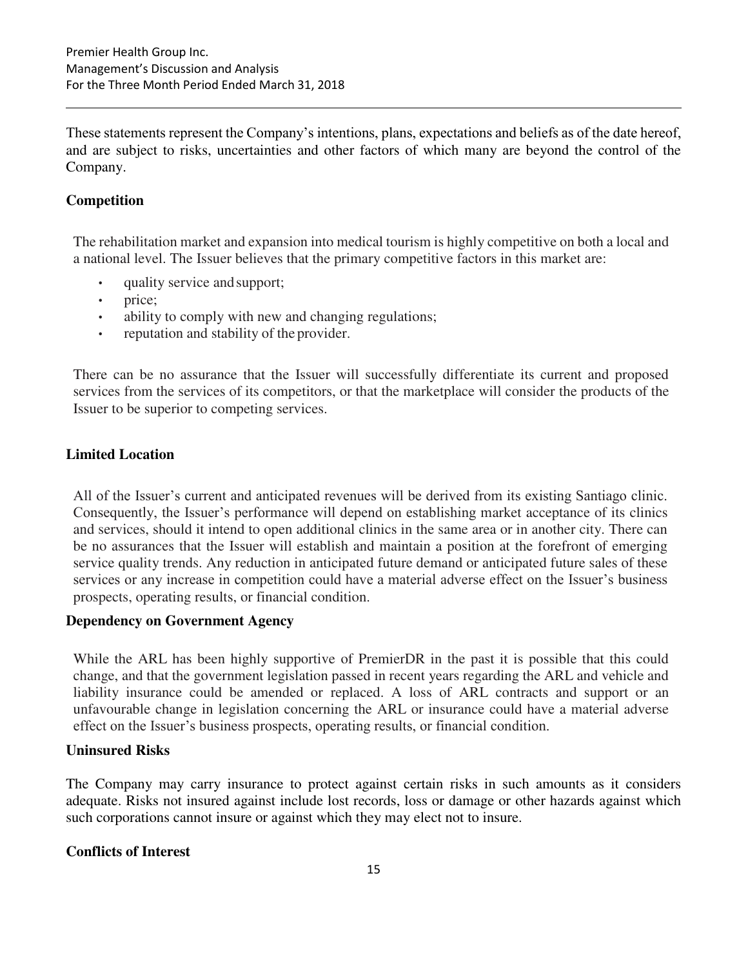These statements represent the Company's intentions, plans, expectations and beliefs as of the date hereof, and are subject to risks, uncertainties and other factors of which many are beyond the control of the Company.

# **Competition**

The rehabilitation market and expansion into medical tourism is highly competitive on both a local and a national level. The Issuer believes that the primary competitive factors in this market are:

- quality service and support;
- price;
- ability to comply with new and changing regulations;
- reputation and stability of the provider.

There can be no assurance that the Issuer will successfully differentiate its current and proposed services from the services of its competitors, or that the marketplace will consider the products of the Issuer to be superior to competing services.

# **Limited Location**

All of the Issuer's current and anticipated revenues will be derived from its existing Santiago clinic. Consequently, the Issuer's performance will depend on establishing market acceptance of its clinics and services, should it intend to open additional clinics in the same area or in another city. There can be no assurances that the Issuer will establish and maintain a position at the forefront of emerging service quality trends. Any reduction in anticipated future demand or anticipated future sales of these services or any increase in competition could have a material adverse effect on the Issuer's business prospects, operating results, or financial condition.

# **Dependency on Government Agency**

While the ARL has been highly supportive of PremierDR in the past it is possible that this could change, and that the government legislation passed in recent years regarding the ARL and vehicle and liability insurance could be amended or replaced. A loss of ARL contracts and support or an unfavourable change in legislation concerning the ARL or insurance could have a material adverse effect on the Issuer's business prospects, operating results, or financial condition.

# **Uninsured Risks**

The Company may carry insurance to protect against certain risks in such amounts as it considers adequate. Risks not insured against include lost records, loss or damage or other hazards against which such corporations cannot insure or against which they may elect not to insure.

# **Conflicts of Interest**